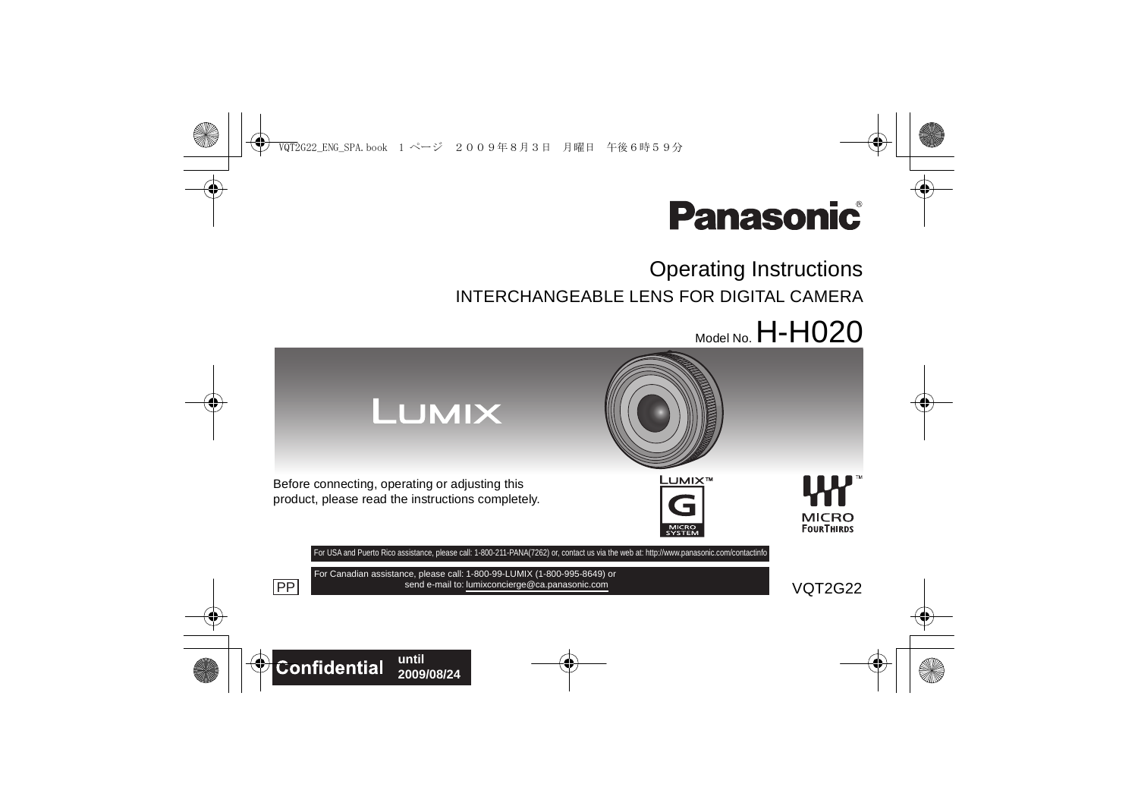

# Operating Instructions INTERCHANGEABLE LENS FOR DIGITAL CAMERA

 $_{\text{Model No}}$  H-H020

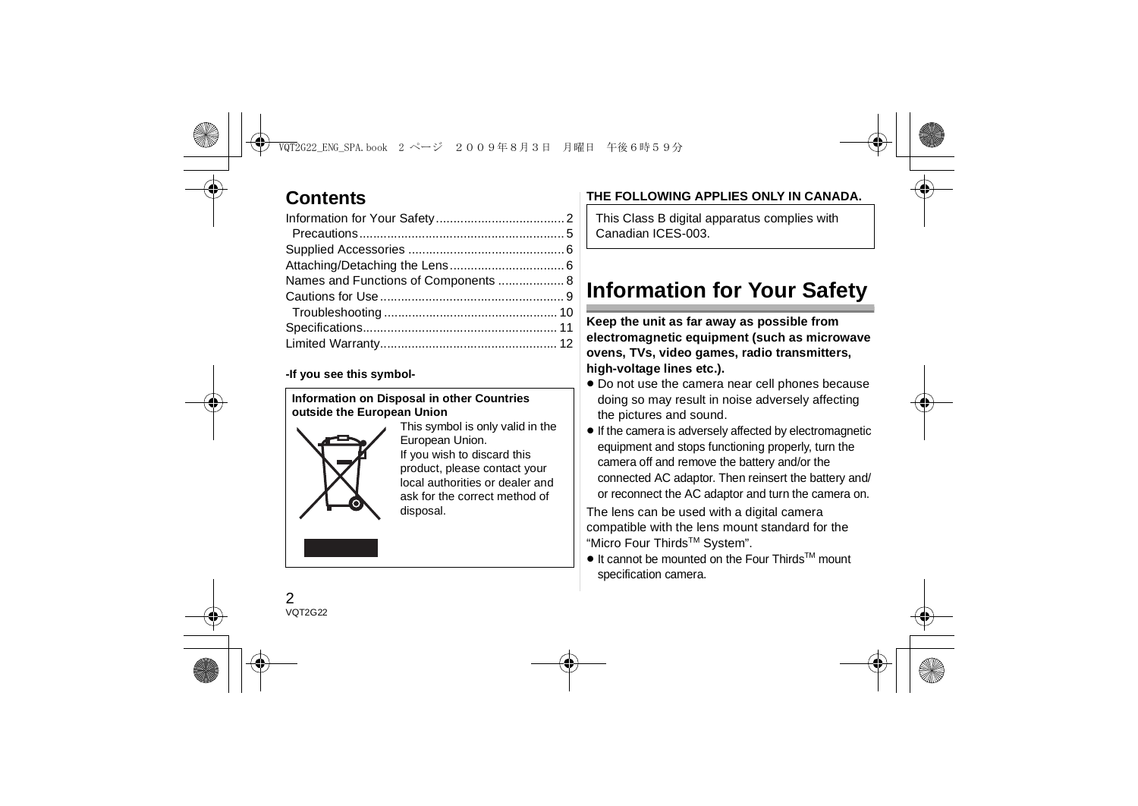# **Contents**

| Names and Functions of Components  8 |
|--------------------------------------|
|                                      |
|                                      |
|                                      |
|                                      |
|                                      |

#### **-If you see this symbol-**

#### **Information on Disposal in other Countries outside the European Union**



This symbol is only valid in the European Union. If you wish to discard this product, please contact your local authorities or dealer and ask for the correct method of disposal.

## **THE FOLLOWING APPLIES ONLY IN CANADA.**

This Class B digital apparatus complies with Canadian ICES-003.

# **Information for Your Safety**

**Keep the unit as far away as possible from electromagnetic equipment (such as microwave ovens, TVs, video games, radio transmitters, high-voltage lines etc.).**

- Do not use the camera near cell phones because doing so may result in noise adversely affecting the pictures and sound.
- If the camera is adversely affected by electromagnetic equipment and stops functioning properly, turn the camera off and remove the battery and/or the connected AC adaptor. Then reinsert the battery and/ or reconnect the AC adaptor and turn the camera on.

The lens can be used with a digital camera compatible with the lens mount standard for the "Micro Four ThirdsTM System".

● It cannot be mounted on the Four Thirds<sup>™</sup> mount specification camera.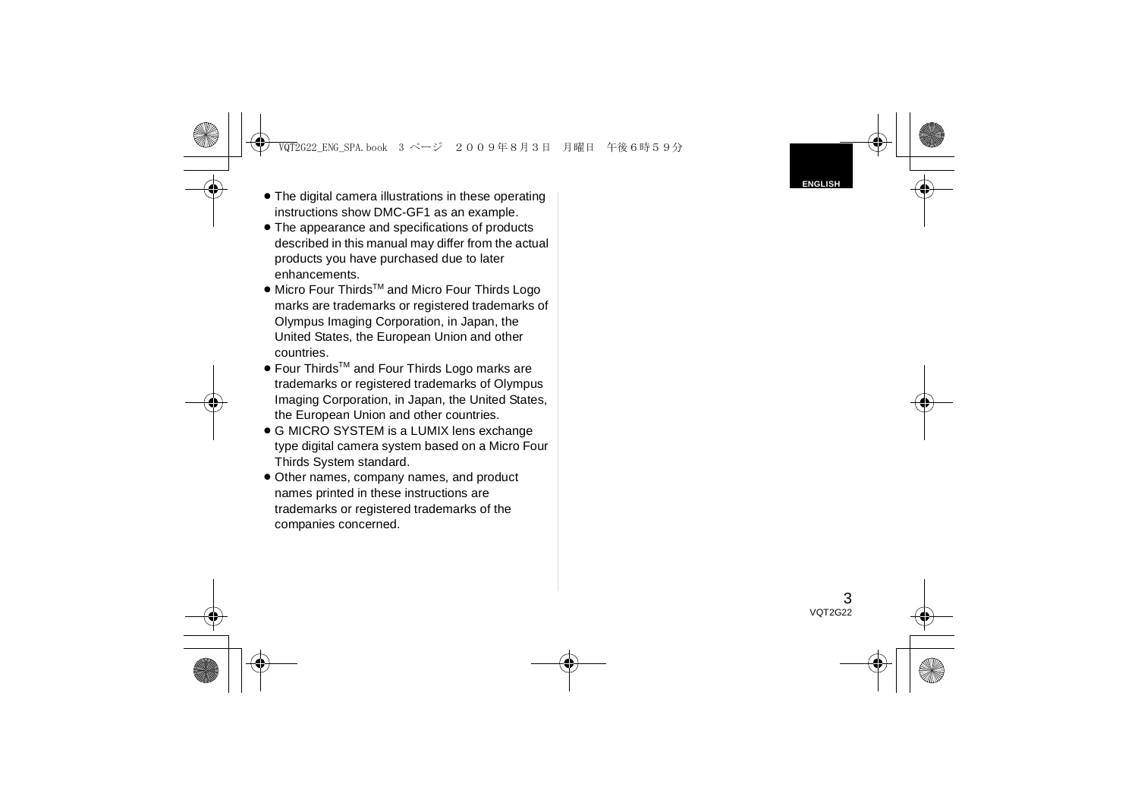- ≥ The digital camera illustrations in these operating instructions show DMC-GF1 as an example.
- ≥ The appearance and specifications of products described in this manual may differ from the actual products you have purchased due to later enhancements.
- Micro Four Thirds<sup>™</sup> and Micro Four Thirds Logo marks are trademarks or registered trademarks of Olympus Imaging Corporation, in Japan, the United States, the European Union and other countries.
- Four Thirds<sup>™</sup> and Four Thirds Logo marks are trademarks or registered trademarks of Olympus Imaging Corporation, in Japan, the United States, the European Union and other countries.
- G MICRO SYSTEM is a LUMIX lens exchange type digital camera system based on a Micro Four Thirds System standard.
- Other names, company names, and product names printed in these instructions are trademarks or registered trademarks of the companies concerned.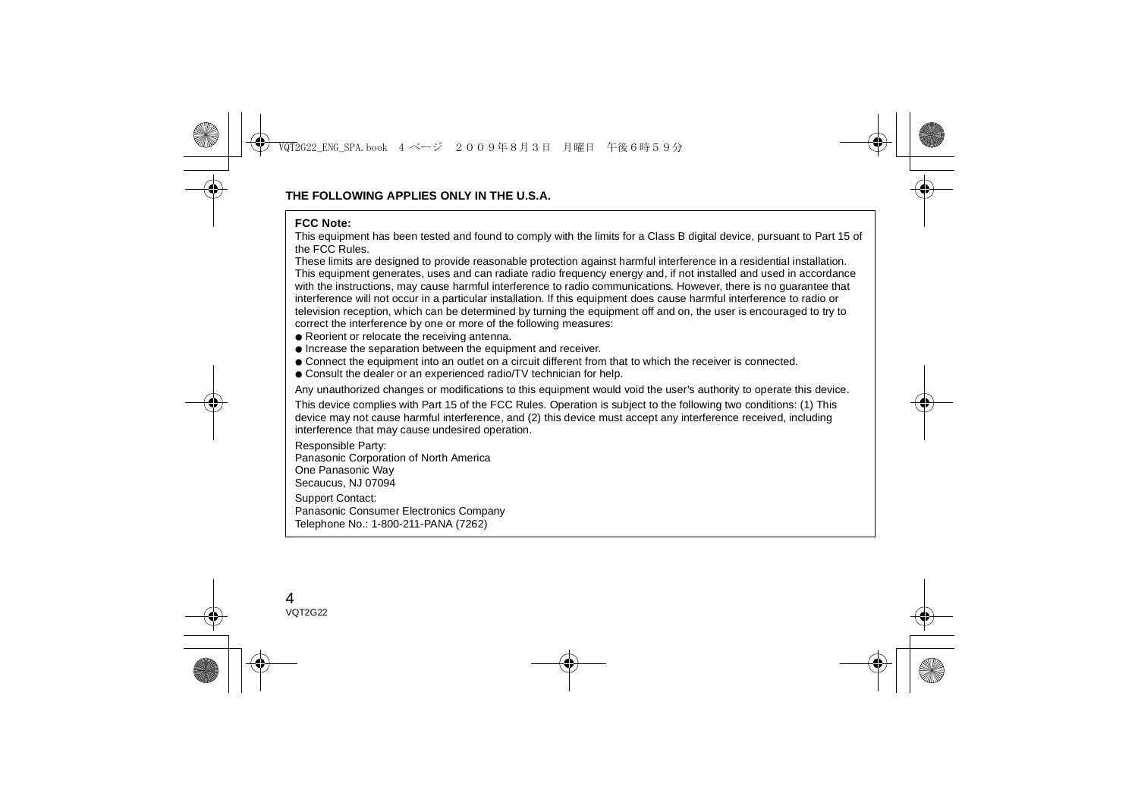#### **FCC Note:**

 This equipment has been tested and found to comply with the limits for a Class B digital device, pursuant to Part 15 of the FCC Rules.

These limits are designed to provide reasonable protection against harmful interference in a residential installation. This equipment generates, uses and can radiate radio frequency energy and, if not installed and used in accordance with the instructions, may cause harmful interference to radio communications. However, there is no guarantee that interference will not occur in a particular installation. If this equipment does cause harmful interference to radio or television reception, which can be determined by turning the equipment off and on, the user is encouraged to try to correct the interference by one or more of the following measures:

- Reorient or relocate the receiving antenna.
- Increase the separation between the equipment and receiver.
- Connect the equipment into an outlet on a circuit different from that to which the receiver is connected.
- Consult the dealer or an experienced radio/TV technician for help.

Any unauthorized changes or modifications to this equipment would void the user's authority to operate this device.

This device complies with Part 15 of the FCC Rules. Operation is subject to the following two conditions: (1) This device may not cause harmful interference, and (2) this device must accept any interference received, including interference that may cause undesired operation.

Responsible Party:

Panasonic Corporation of North America

One Panasonic Way

Secaucus, NJ 07094

Support Contact:

Panasonic Consumer Electronics Company

Telephone No.: 1-800-211-PANA (7262)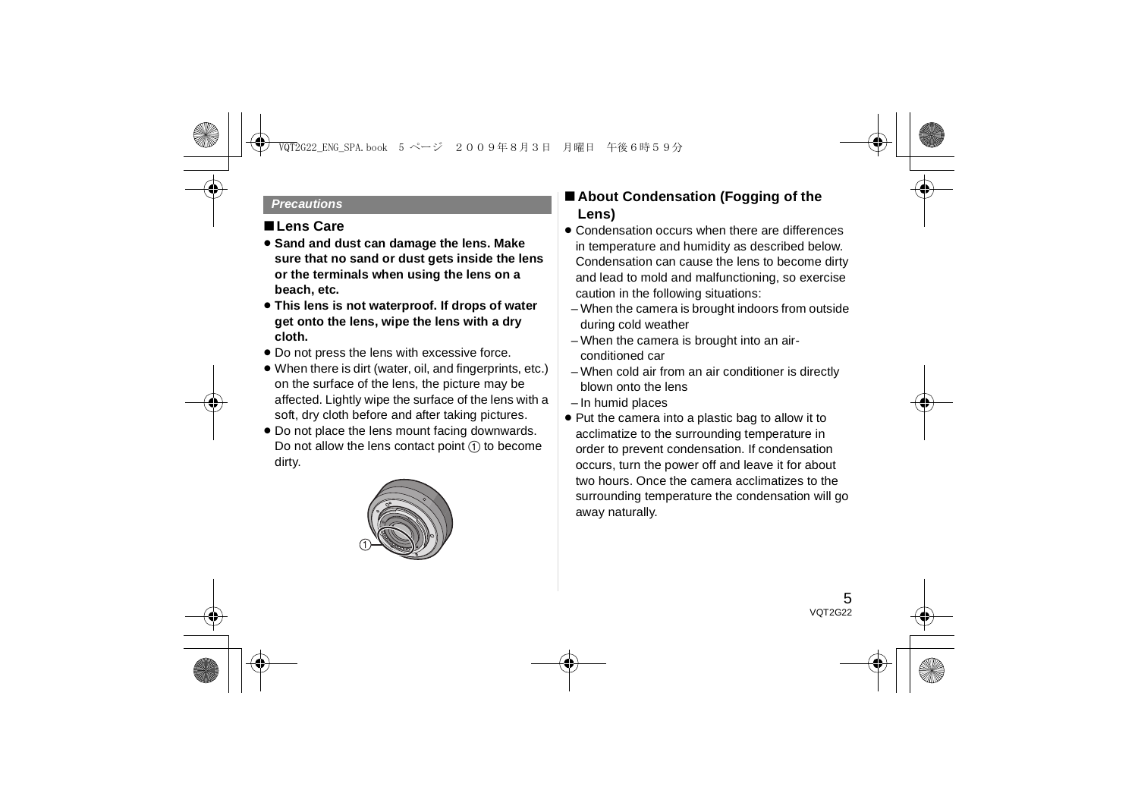#### *Precautions*

### ∫**Lens Care**

- ≥ **Sand and dust can damage the lens. Make sure that no sand or dust gets inside the lens or the terminals when using the lens on a beach, etc.**
- ≥ **This lens is not waterproof. If drops of water get onto the lens, wipe the lens with a dry cloth.**
- Do not press the lens with excessive force.
- ≥ When there is dirt (water, oil, and fingerprints, etc.) on the surface of the lens, the picture may be affected. Lightly wipe the surface of the lens with a soft, dry cloth before and after taking pictures.
- Do not place the lens mount facing downwards. Do not allow the lens contact point  $(1)$  to become dirty.



## ∫ **About Condensation (Fogging of the Lens)**

- Condensation occurs when there are differences in temperature and humidity as described below. Condensation can cause the lens to become dirty and lead to mold and malfunctioning, so exercise caution in the following situations:
	- When the camera is brought indoors from outside during cold weather
	- When the camera is brought into an airconditioned car
	- When cold air from an air conditioner is directly blown onto the lens
- In humid places
- ≥ Put the camera into a plastic bag to allow it to acclimatize to the surrounding temperature in order to prevent condensation. If condensation occurs, turn the power off and leave it for about two hours. Once the camera acclimatizes to the surrounding temperature the condensation will go away naturally.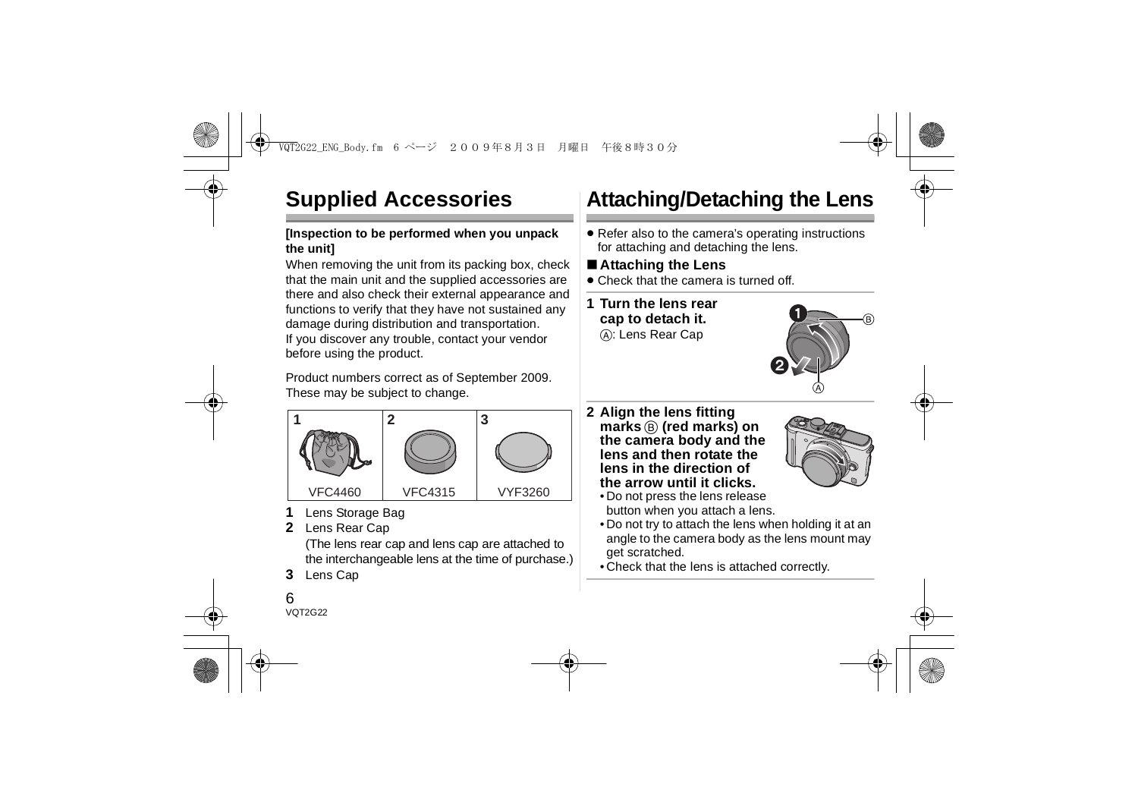# **Supplied Accessories**

### **[Inspection to be performed when you unpack the unit]**

When removing the unit from its packing box, check that the main unit and the supplied accessories are there and also check their external appearance and functions to verify that they have not sustained any damage during distribution and transportation. If you discover any trouble, contact your vendor before using the product.

Product numbers correct as of September 2009. These may be subject to change.



- **1**Lens Storage Bag
- **2** Lens Rear Cap

(The lens rear cap and lens cap are attached to the interchangeable lens at the time of purchase.)

**3**Lens Cap

# **Attaching/Detaching the Lens**

● Refer also to the camera's operating instructions for attaching and detaching the lens.

## ∫ **Attaching the Lens**

- Check that the camera is turned off.
- **1 Turn the lens rear cap to detach it.** A: Lens Rear Cap



**2 Align the lens fitting marks** B **(red marks) on the camera body and the lens and then rotate the lens in the direction of the arrow until it clicks.**



- Do not press the lens release button when you attach a lens.
- Do not try to attach the lens when holding it at an angle to the camera body as the lens mount may get scratched.
- Check that the lens is attached correctly.

### 6VOT2G22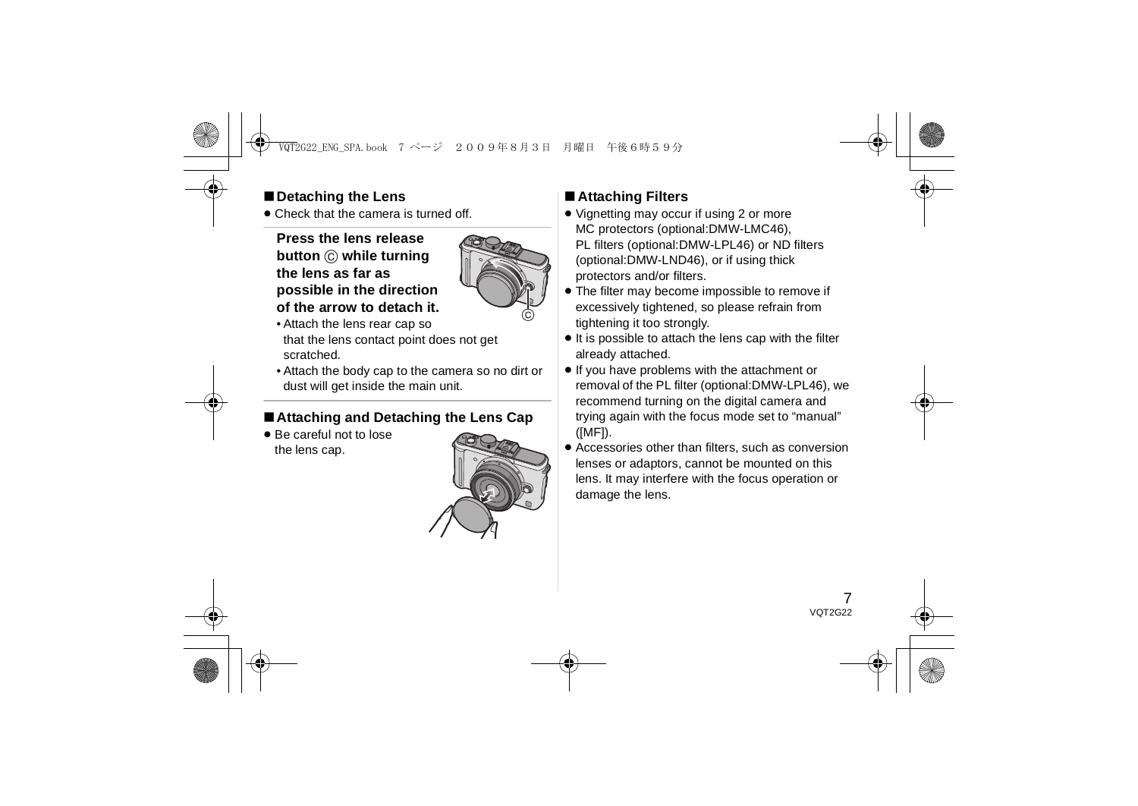## ∫**Detaching the Lens**

● Check that the camera is turned off.

### **Press the lens release button** C **while turning the lens as far as possible in the direction of the arrow to detach it.**



- Attach the lens rear cap so that the lens contact point does not get scratched.
- Attach the body cap to the camera so no dirt or dust will get inside the main unit.

## ∫**Attaching and Detaching the Lens Cap**

● Be careful not to lose the lens cap.



## ∫ **Attaching Filters**

- ≥ Vignetting may occur if using 2 or more MC protectors (optional:DMW-LMC46), PL filters (optional:DMW-LPL46) or ND filters (optional:DMW-LND46), or if using thick protectors and/or filters.
- The filter may become impossible to remove if excessively tightened, so please refrain from tightening it too strongly.
- ≥ It is possible to attach the lens cap with the filter already attached.
- ≥ If you have problems with the attachment or removal of the PL filter (optional:DMW-LPL46), we recommend turning on the digital camera and trying again with the focus mode set to "manual" ([MF]).
- Accessories other than filters, such as conversion lenses or adaptors, cannot be mounted on this lens. It may interfere with the focus operation or damage the lens.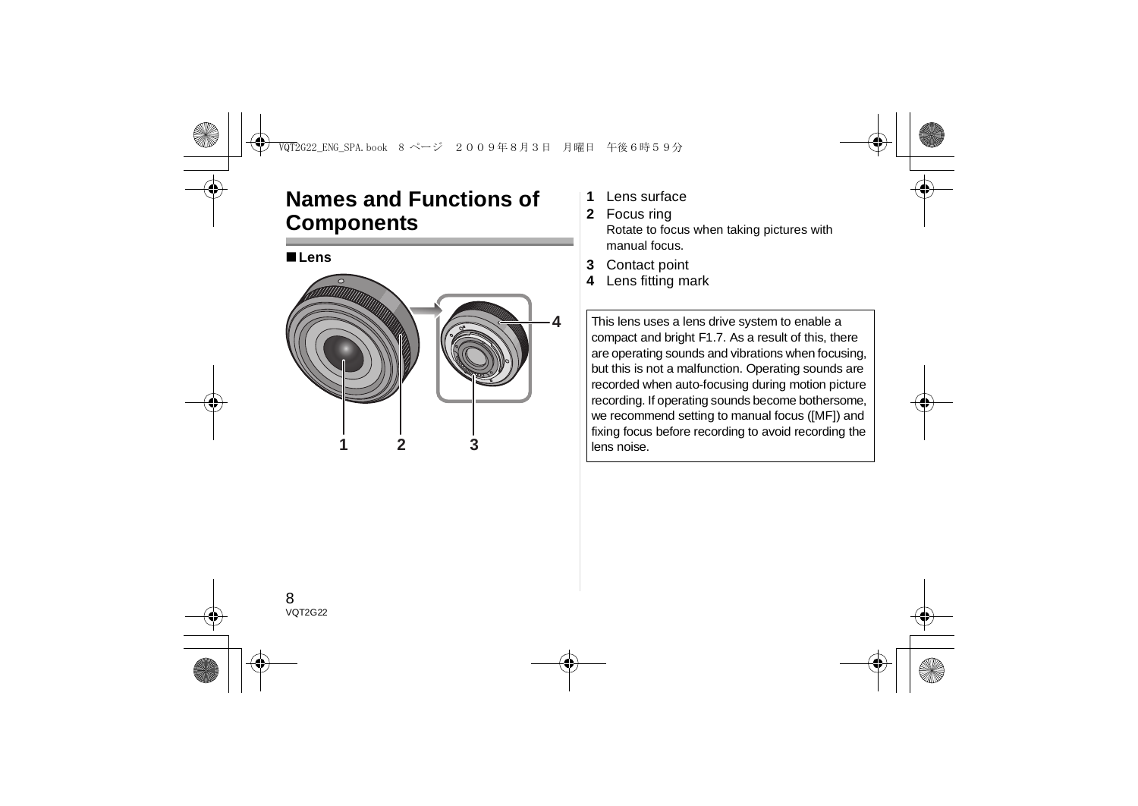# **Names and Functions of Components**



- **1**Lens surface
- **2** Focus ring Rotate to focus when taking pictures with manual focus.
- **3**Contact point
- **4**Lens fitting mark

This lens uses a lens drive system to enable a compact and bright F1.7. As a result of this, there are operating sounds and vibrations when focusing, but this is not a malfunction. Operating sounds are recorded when auto-focusing during motion picture recording. If operating sounds become bothersome, we recommend setting to manual focus ([MF]) and fixing focus before recording to avoid recording the lens noise.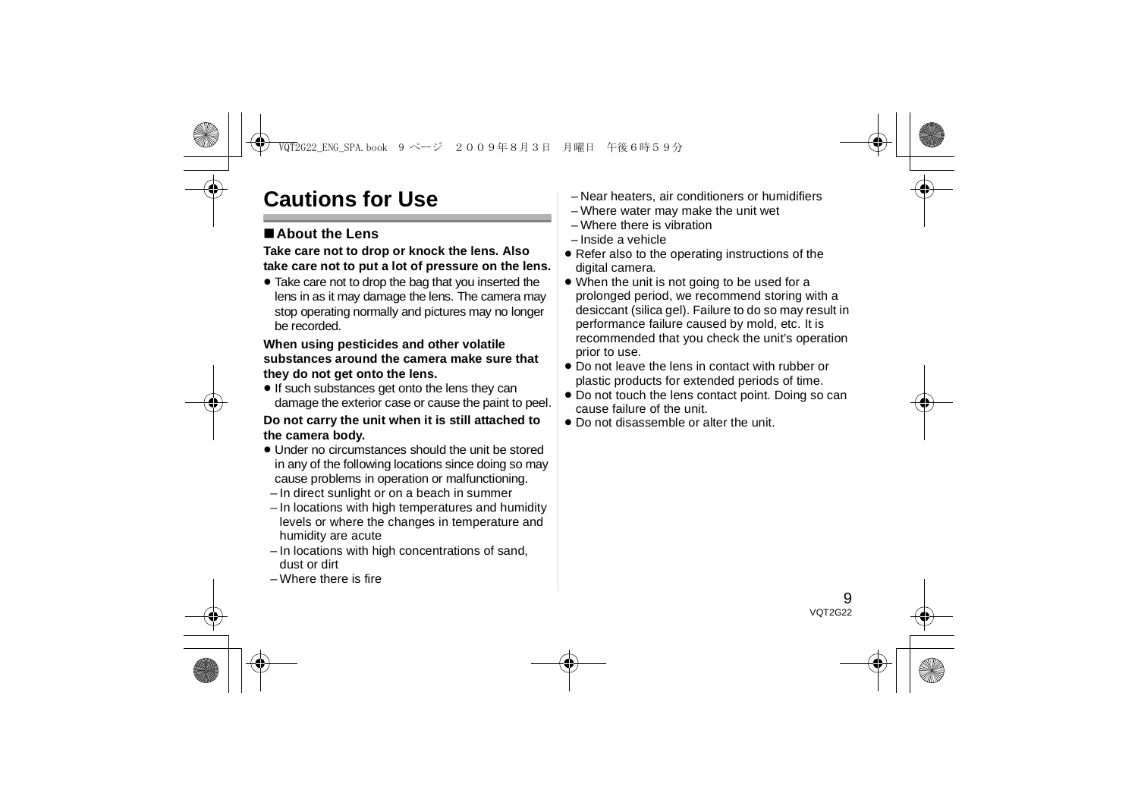# **Cautions for Use**

## ∫**About the Lens**

### **Take care not to drop or knock the lens. Also take care not to put a lot of pressure on the lens.**

● Take care not to drop the bag that you inserted the lens in as it may damage the lens. The camera may stop operating normally and pictures may no longer be recorded.

#### **When using pesticides and other volatile substances around the camera make sure that they do not get onto the lens.**

● If such substances get onto the lens they can damage the exterior case or cause the paint to peel.

### **Do not carry the unit when it is still attached to the camera body.**

- Under no circumstances should the unit be stored in any of the following locations since doing so may cause problems in operation or malfunctioning.
- In direct sunlight or on a beach in summer
- In locations with high temperatures and humidity levels or where the changes in temperature and humidity are acute
- In locations with high concentrations of sand, dust or dirt
- Where there is fire
- Near heaters, air conditioners or humidifiers
- Where water may make the unit wet
- Where there is vibration
- Inside a vehicle
- Refer also to the operating instructions of the digital camera.
- ≥ When the unit is not going to be used for a prolonged period, we recommend storing with a desiccant (silica gel). Failure to do so may result in performance failure caused by mold, etc. It is recommended that you check the unit's operation prior to use.
- Do not leave the lens in contact with rubber or plastic products for extended periods of time.
- ≥ Do not touch the lens contact point. Doing so can cause failure of the unit.
- Do not disassemble or alter the unit.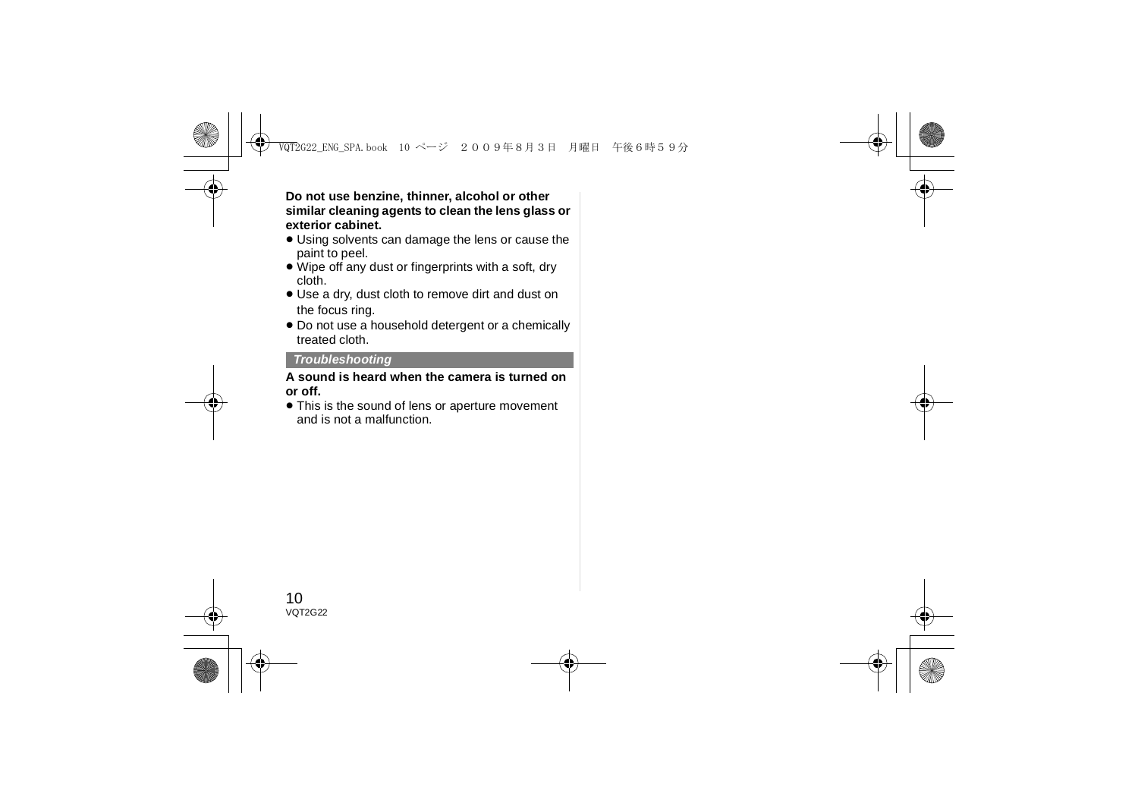**Do not use benzine, thinner, alcohol or other similar cleaning agents to clean the lens glass or exterior cabinet.**

- ≥ Using solvents can damage the lens or cause the paint to peel.
- ≥ Wipe off any dust or fingerprints with a soft, dry cloth.
- ≥ Use a dry, dust cloth to remove dirt and dust on the focus ring.
- ≥ Do not use a household detergent or a chemically treated cloth.

### *Troubleshooting*

#### **A sound is heard when the camera is turned on or off.**

● This is the sound of lens or aperture movement and is not a malfunction.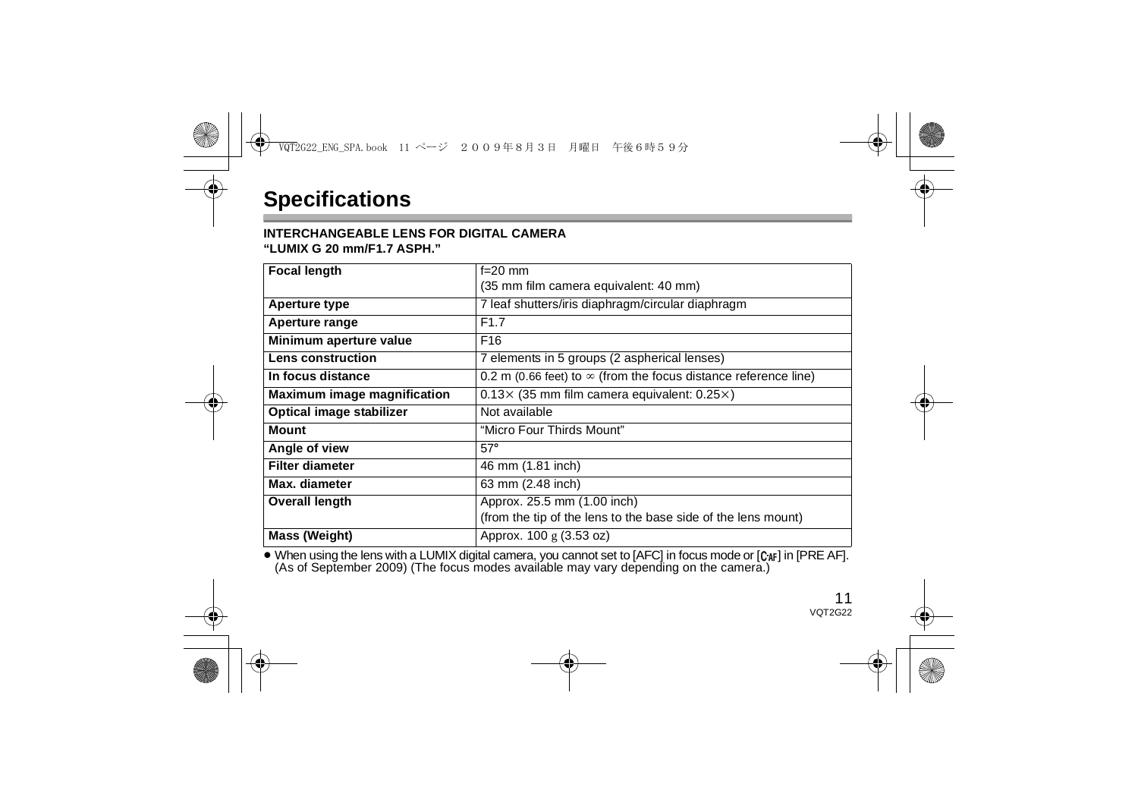### **INTERCHANGEABLE LENS FOR DIGITAL CAMERA**

**"LUMIX G 20 mm/F1.7 ASPH."**

| <b>Focal length</b>                | $f=20$ mm                                                              |
|------------------------------------|------------------------------------------------------------------------|
|                                    | (35 mm film camera equivalent: 40 mm)                                  |
| Aperture type                      | 7 leaf shutters/iris diaphragm/circular diaphragm                      |
| Aperture range                     | F <sub>1.7</sub>                                                       |
| Minimum aperture value             | F <sub>16</sub>                                                        |
| Lens construction                  | 7 elements in 5 groups (2 aspherical lenses)                           |
| In focus distance                  | 0.2 m (0.66 feet) to $\infty$ (from the focus distance reference line) |
| <b>Maximum image magnification</b> | $0.13\times$ (35 mm film camera equivalent: 0.25 $\times$ )            |
| Optical image stabilizer           | Not available                                                          |
| <b>Mount</b>                       | "Micro Four Thirds Mount"                                              |
| Angle of view                      | $57^\circ$                                                             |
| <b>Filter diameter</b>             | 46 mm (1.81 inch)                                                      |
| Max. diameter                      | 63 mm (2.48 inch)                                                      |
| <b>Overall length</b>              | Approx. 25.5 mm (1.00 inch)                                            |
|                                    | (from the tip of the lens to the base side of the lens mount)          |
| Mass (Weight)                      | Approx. 100 g (3.53 oz)                                                |

● When using the lens with a LUMIX digital camera, you cannot set to [AFC] in focus mode or [C<sub>AF</sub>] in [PRE AF]. (As of September 2009) (The focus modes available may vary depending on the camera.)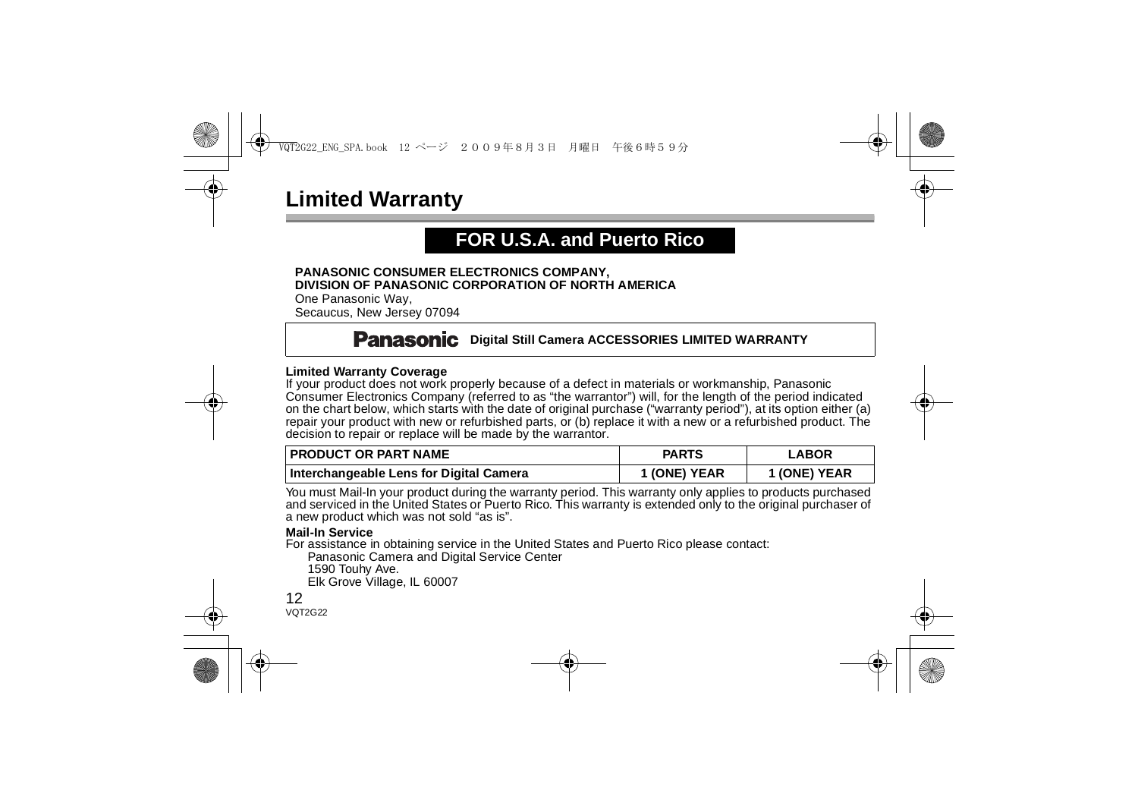# **Limited Warranty**

# **FOR U.S.A. and Puerto Rico**

#### **PANASONIC CONSUMER ELECTRONICS COMPANY, DIVISION OF PANASONIC CORPORATION OF NORTH AMERICA**

One Panasonic Way, Secaucus, New Jersey 07094

## **Panasonic** Digital Still Camera ACCESSORIES LIMITED WARRANTY

#### **Limited Warranty Coverage**

If your product does not work properly because of a defect in materials or workmanship, Panasonic Consumer Electronics Company (referred to as "the warrantor") will, for the length of the period indicated on the chart below, which starts with the date of original purchase ("warranty period"), at its option either (a) repair your product with new or refurbished parts, or (b) replace it with a new or a refurbished product. The decision to repair or replace will be made by the warrantor.

| <b>I PRODUCT OR PART NAME</b>           | <b>PARTS</b> | <b>LABOR</b> |
|-----------------------------------------|--------------|--------------|
| Interchangeable Lens for Digital Camera | 1 (ONE) YEAR | 1 (ONE) YEAR |

You must Mail-In your product during the warranty period. This warranty only applies to products purchased and serviced in the United States or Puerto Rico. This warranty is extended only to the original purchaser of a new product which was not sold "as is".

#### **Mail-In Service**

For assistance in obtaining service in the United States and Puerto Rico please contact:

Panasonic Camera and Digital Service Center

1590 Touhy Ave.

Elk Grove Village, IL 60007

#### 12VOT2G22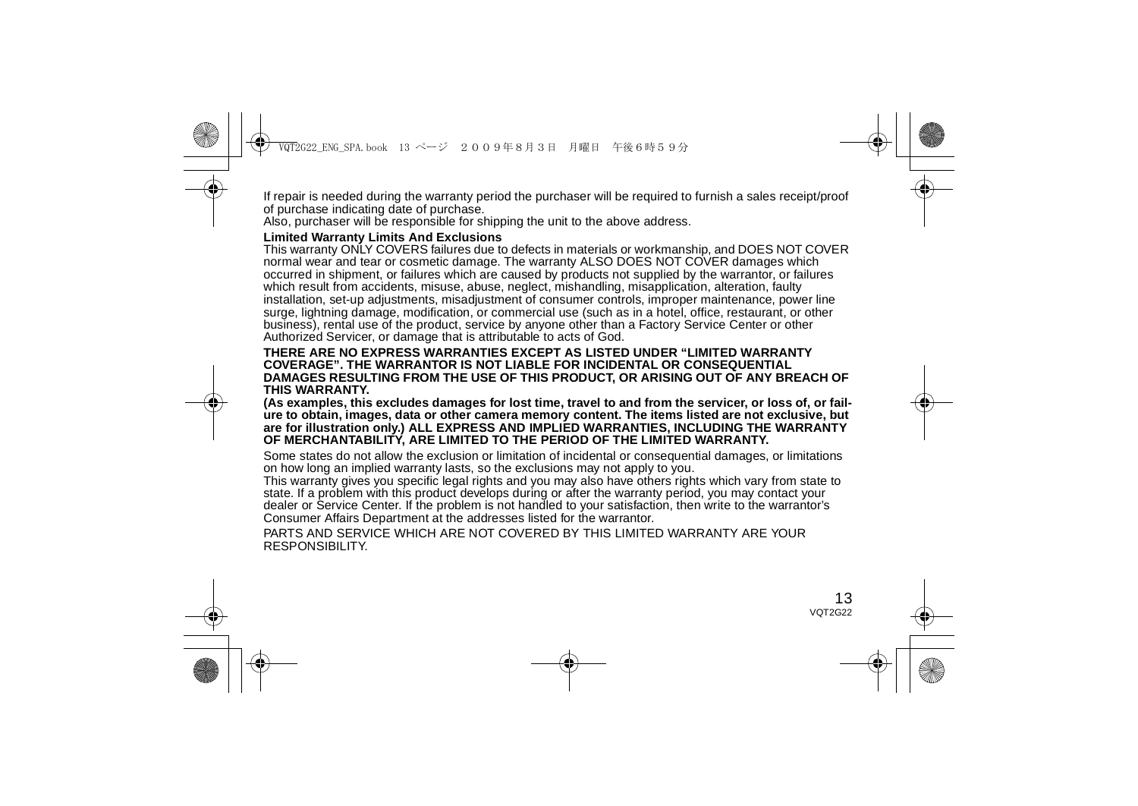If repair is needed during the warranty period the purchaser will be required to furnish a sales receipt/proof of purchase indicating date of purchase.

Also, purchaser will be responsible for shipping the unit to the above address.

#### **Limited Warranty Limits And Exclusions**

This warranty ONLY COVERS failures due to defects in materials or workmanship, and DOES NOT COVER normal wear and tear or cosmetic damage. The warranty ALSO DOES NOT COVER damages which occurred in shipment, or failures which are caused by products not supplied by the warrantor, or failures which result from accidents, misuse, abuse, neglect, mishandling, misapplication, alteration, faulty installation, set-up adjustments, misadjustment of consumer controls, improper maintenance, power line surge, lightning damage, modification, or commercial use (such as in a hotel, office, restaurant, or other business), rental use of the product, service by anyone other than a Factory Service Center or other Authorized Servicer, or damage that is attributable to acts of God.

#### **THERE ARE NO EXPRESS WARRANTIES EXCEPT AS LISTED UNDER "LIMITED WARRANTY COVERAGE". THE WARRANTOR IS NOT LIABLE FOR INCIDENTAL OR CONSEQUENTIAL DAMAGES RESULTING FROM THE USE OF THIS PRODUCT, OR ARISING OUT OF ANY BREACH OF THIS WARRANTY.**

**(As examples, this excludes damages for lost time, travel to and from the servicer, or loss of, or failure to obtain, images, data or other camera memory content. The items listed are not exclusive, but are for illustration only.) ALL EXPRESS AND IMPLIED WARRANTIES, INCLUDING THE WARRANTY OF MERCHANTABILITY, ARE LIMITED TO THE PERIOD OF THE LIMITED WARRANTY.**

Some states do not allow the exclusion or limitation of incidental or consequential damages, or limitations on how long an implied warranty lasts, so the exclusions may not apply to you.

This warranty gives you specific legal rights and you may also have others rights which vary from state to state. If a problem with this product develops during or after the warranty period, you may contact your dealer or Service Center. If the problem is not handled to your satisfaction, then write to the warrantor's Consumer Affairs Department at the addresses listed for the warrantor.

PARTS AND SERVICE WHICH ARE NOT COVERED BY THIS LIMITED WARRANTY ARE YOUR RESPONSIBILITY.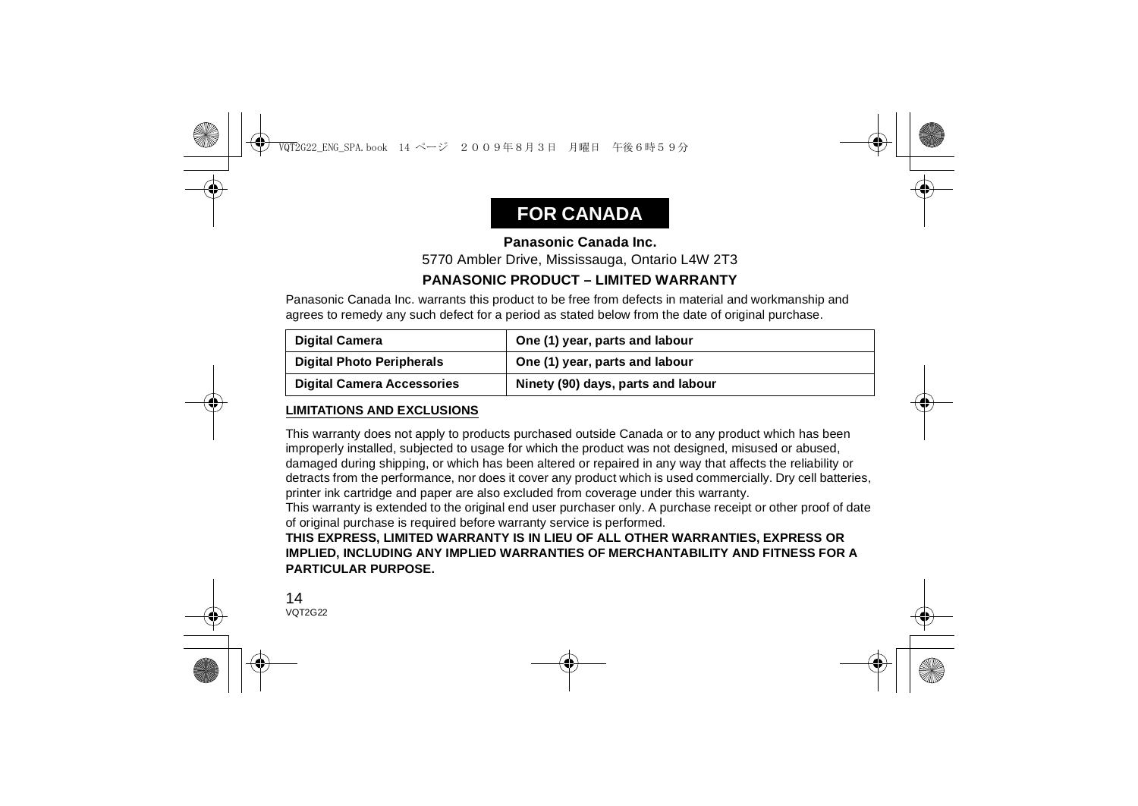# **FOR CANADA**

## **Panasonic Canada Inc.**

5770 Ambler Drive, Mississauga, Ontario L4W 2T3

## **PANASONIC PRODUCT – LIMITED WARRANTY**

Panasonic Canada Inc. warrants this product to be free from defects in material and workmanship and agrees to remedy any such defect for a period as stated below from the date of original purchase.

| <b>Digital Camera</b>             | One (1) year, parts and labour     |
|-----------------------------------|------------------------------------|
| <b>Digital Photo Peripherals</b>  | One (1) year, parts and labour     |
| <b>Digital Camera Accessories</b> | Ninety (90) days, parts and labour |

### **LIMITATIONS AND EXCLUSIONS**

This warranty does not apply to products purchased outside Canada or to any product which has been improperly installed, subjected to usage for which the product was not designed, misused or abused, damaged during shipping, or which has been altered or repaired in any way that affects the reliability or detracts from the performance, nor does it cover any product which is used commercially. Dry cell batteries, printer ink cartridge and paper are also excluded from coverage under this warranty.

This warranty is extended to the original end user purchaser only. A purchase receipt or other proof of date of original purchase is required before warranty service is performed.

**THIS EXPRESS, LIMITED WARRANTY IS IN LIEU OF ALL OTHER WARRANTIES, EXPRESS OR IMPLIED, INCLUDING ANY IMPLIED WARRANTIES OF MERCHANTABILITY AND FITNESS FOR A PARTICULAR PURPOSE.**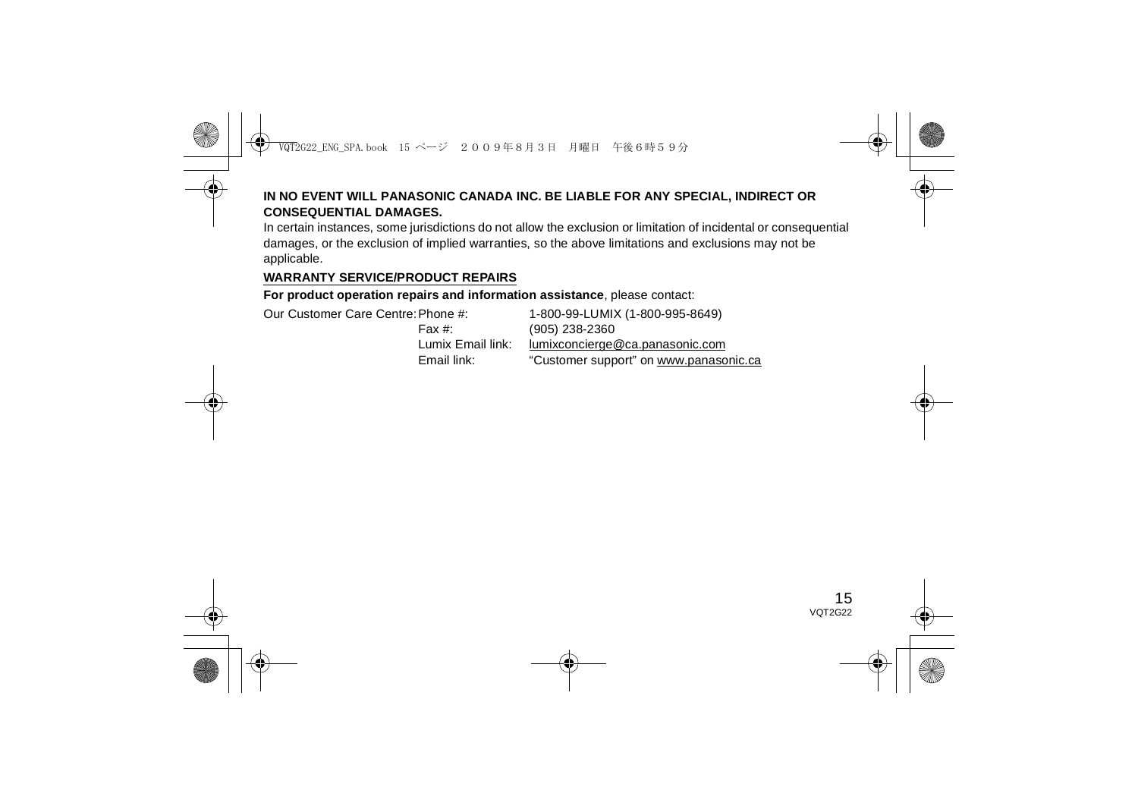### **IN NO EVENT WILL PANASONIC CANADA INC. BE LIABLE FOR ANY SPECIAL, INDIRECT OR CONSEQUENTIAL DAMAGES.**

In certain instances, some jurisdictions do not allow the exclusion or limitation of incidental or consequential damages, or the exclusion of implied warranties, so the above limitations and exclusions may not be applicable.

### **WARRANTY SERVICE/PRODUCT REPAIRS**

**For product operation repairs and information assistance**, please contact:

Our Customer Care Centre:Phone #: 1-800-99-LUMIX (1-800-995-8649)

Fax #: (905) 238-2360 Lumix Email link: lumixconcierge@ca.panasonic.com Email link: "Customer support" on www.panasonic.ca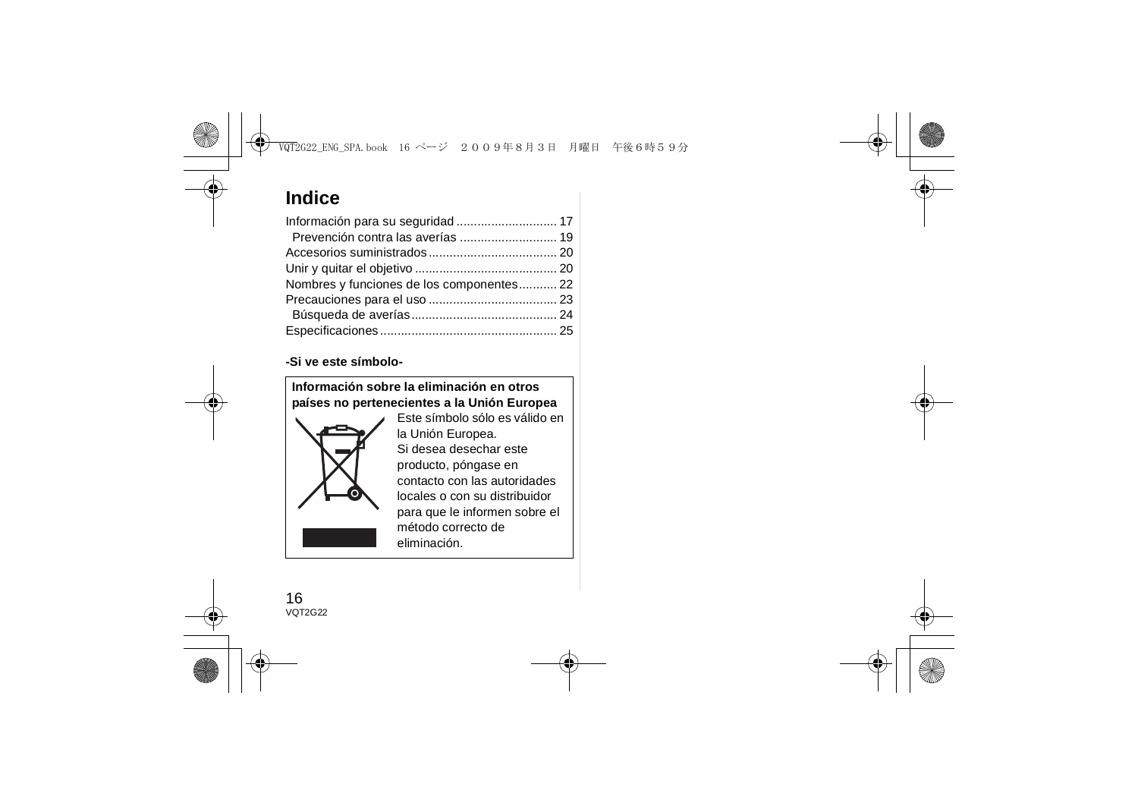# **Indice**

| Nombres y funciones de los componentes 22 |  |
|-------------------------------------------|--|
|                                           |  |
|                                           |  |
|                                           |  |

### **-Si ve este símbolo-**

**Información sobre la eliminación en otros países no pertenecientes a la Unión Europea**



Este símbolo sólo es válido en la Unión Europea. Si desea desechar este producto, póngase en contacto con las autoridades locales o con su distribuidor para que le informen sobre el método correcto de eliminación.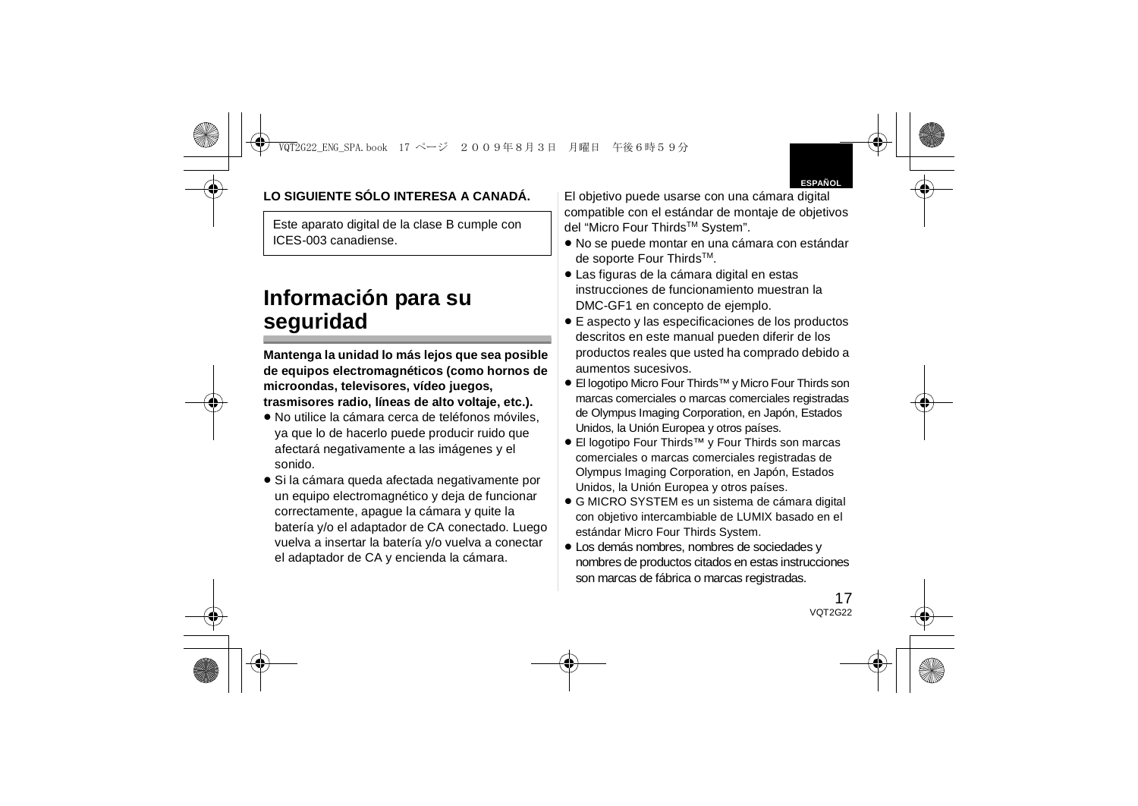

## **LO SIGUIENTE SÓLO INTERESA A CANADÁ.**

Este aparato digital de la clase B cumple con ICES-003 canadiense.

# **Información para su seguridad**

**Mantenga la unidad lo más lejos que sea posible de equipos electromagnéticos (como hornos de microondas, televisores, vídeo juegos, trasmisores radio, líneas de alto voltaje, etc.).**

- ≥ No utilice la cámara cerca de teléfonos móviles, ya que lo de hacerlo puede producir ruido que afectará negativamente a las imágenes y el sonido.
- ≥ Si la cámara queda afectada negativamente por un equipo electromagnético y deja de funcionar correctamente, apague la cámara y quite la batería y/o el adaptador de CA conectado. Luego vuelva a insertar la batería y/o vuelva a conectar el adaptador de CA y encienda la cámara.

El objetivo puede usarse con una cámara digital compatible con el estándar de montaje de objetivos del "Micro Four ThirdsTM System".

- ≥ No se puede montar en una cámara con estándar de soporte Four Thirds™.
- ≥ Las figuras de la cámara digital en estas instrucciones de funcionamiento muestran la DMC-GF1 en concepto de ejemplo.
- ≥ E aspecto y las especificaciones de los productos descritos en este manual pueden diferir de los productos reales que usted ha comprado debido a aumentos sucesivos.
- ≥ El logotipo Micro Four Thirds™ y Micro Four Thirds son marcas comerciales o marcas comerciales registradas de Olympus Imaging Corporation, en Japón, Estados Unidos, la Unión Europea y otros países.
- ≥ El logotipo Four Thirds™ y Four Thirds son marcas comerciales o marcas comerciales registradas de Olympus Imaging Corporation, en Japón, Estados Unidos, la Unión Europea y otros países.
- ≥ G MICRO SYSTEM es un sistema de cámara digital con objetivo intercambiable de LUMIX basado en el estándar Micro Four Thirds System.
- ≥ Los demás nombres, nombres de sociedades y nombres de productos citados en estas instrucciones son marcas de fábrica o marcas registradas.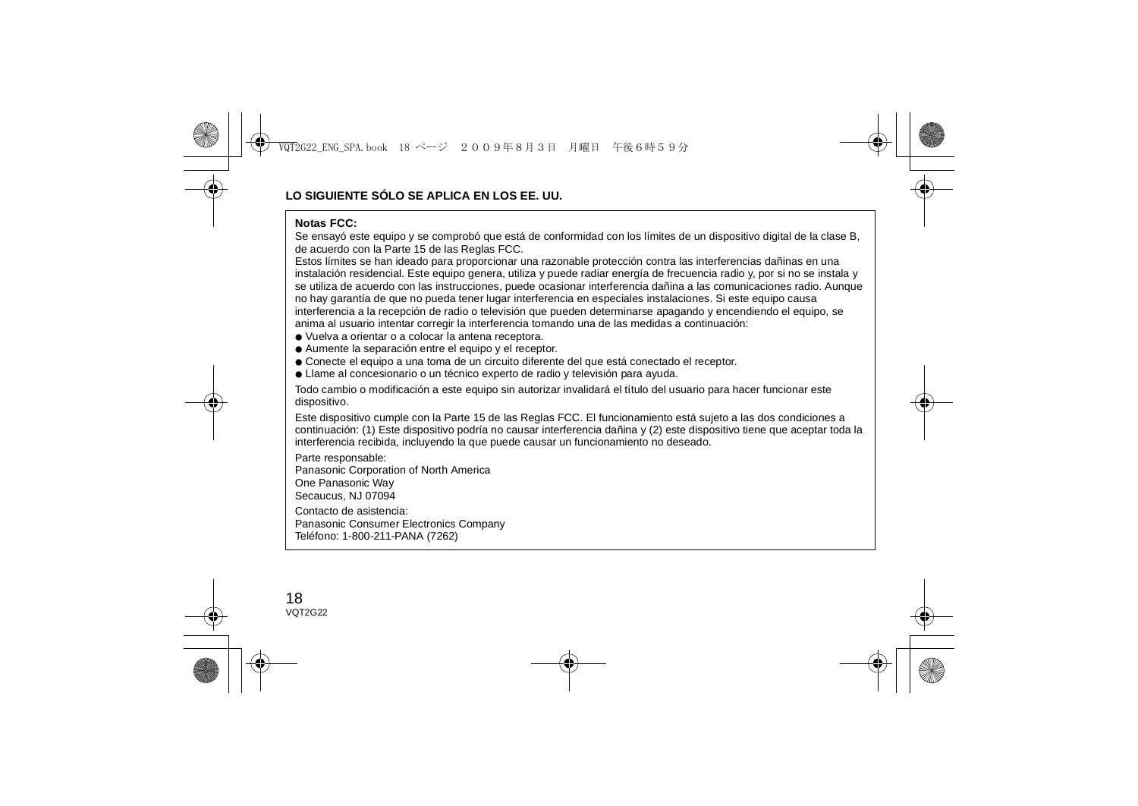#### **Notas FCC:**

 Se ensayó este equipo y se comprobó que está de conformidad con los límites de un dispositivo digital de la clase B, de acuerdo con la Parte 15 de las Reglas FCC.

Estos límites se han ideado para proporcionar una razonable protección contra las interferencias dañinas en una instalación residencial. Este equipo genera, utiliza y puede radiar energía de frecuencia radio y, por si no se instala y se utiliza de acuerdo con las instrucciones, puede ocasionar interferencia dañina a las comunicaciones radio. Aunque no hay garantía de que no pueda tener lugar interferencia en especiales instalaciones. Si este equipo causa interferencia a la recepción de radio o televisión que pueden determinarse apagando y encendiendo el equipo, se anima al usuario intentar corregir la interferencia tomando una de las medidas a continuación:

- Vuelva a orientar o a colocar la antena receptora.
- Aumente la separación entre el equipo y el receptor.
- Conecte el equipo a una toma de un circuito diferente del que está conectado el receptor.
- Llame al concesionario o un técnico experto de radio y televisión para ayuda.

Todo cambio o modificación a este equipo sin autorizar invalidará el título del usuario para hacer funcionar este dispositivo.

Este dispositivo cumple con la Parte 15 de las Reglas FCC. El funcionamiento está sujeto a las dos condiciones a continuación: (1) Este dispositivo podría no causar interferencia dañina y (2) este dispositivo tiene que aceptar toda la interferencia recibida, incluyendo la que puede causar un funcionamiento no deseado.

Parte responsable: Panasonic Corporation of North America One Panasonic Way Secaucus, NJ 07094 Contacto de asistencia:Panasonic Consumer Electronics Company Teléfono: 1-800-211-PANA (7262)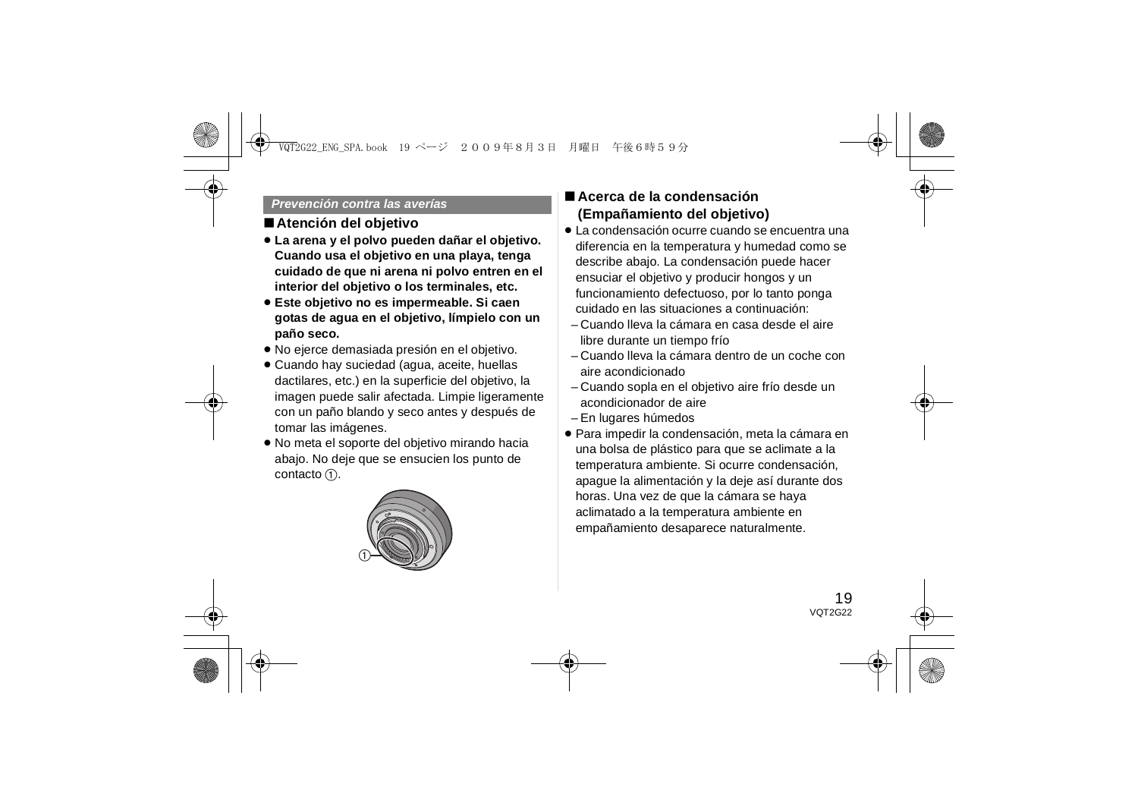#### *Prevención contra las averías*

### ∫**Atención del objetivo**

- ≥ **La arena y el polvo pueden dañar el objetivo. Cuando usa el objetivo en una playa, tenga cuidado de que ni arena ni polvo entren en el interior del objetivo o los terminales, etc.**
- ≥ **Este objetivo no es impermeable. Si caen gotas de agua en el objetivo, límpielo con un paño seco.**
- ≥ No ejerce demasiada presión en el objetivo.
- Cuando hay suciedad (agua, aceite, huellas dactilares, etc.) en la superficie del objetivo, la imagen puede salir afectada. Limpie ligeramente con un paño blando y seco antes y después de tomar las imágenes.
- ≥ No meta el soporte del objetivo mirando hacia abajo. No deje que se ensucien los punto de contacto  $(1)$ .



## ∫ **Acerca de la condensación (Empañamiento del objetivo)**

- La condensación ocurre cuando se encuentra una diferencia en la temperatura y humedad como se describe abajo. La condensación puede hacer ensuciar el objetivo y producir hongos y un funcionamiento defectuoso, por lo tanto ponga cuidado en las situaciones a continuación:
- Cuando lleva la cámara en casa desde el aire libre durante un tiempo frío
- Cuando lleva la cámara dentro de un coche con aire acondicionado
- Cuando sopla en el objetivo aire frío desde un acondicionador de aire
- En lugares húmedos
- ≥ Para impedir la condensación, meta la cámara en una bolsa de plástico para que se aclimate a la temperatura ambiente. Si ocurre condensación, apague la alimentación y la deje así durante dos horas. Una vez de que la cámara se haya aclimatado a la temperatura ambiente en empañamiento desaparece naturalmente.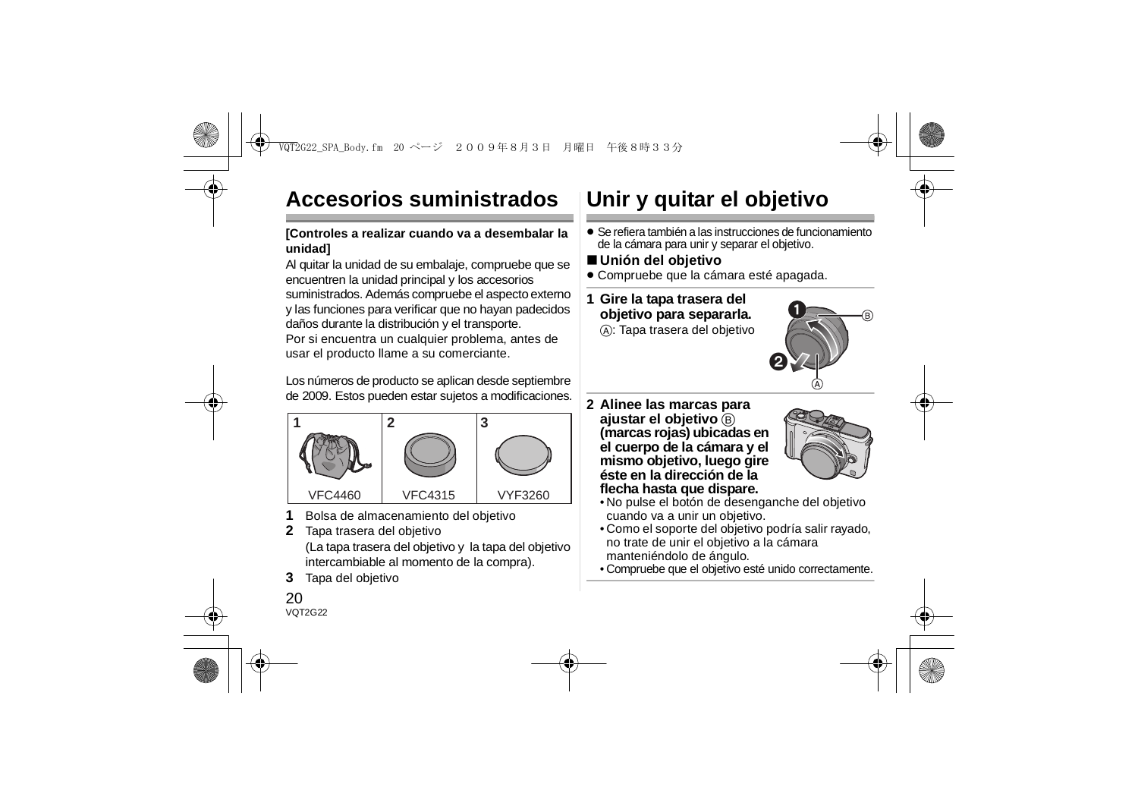# **Accesorios suministrados**

### **[Controles a realizar cuando va a desembalar la unidad]**

Al quitar la unidad de su embalaje, compruebe que se encuentren la unidad principal y los accesorios suministrados. Además compruebe el aspecto externo y las funciones para verificar que no hayan padecidos daños durante la distribución y el transporte.

Por si encuentra un cualquier problema, antes de usar el producto llame a su comerciante.

Los números de producto se aplican desde septiembre de 2009. Estos pueden estar sujetos a modificaciones.



- **1**Bolsa de almacenamiento del objetivo
- **2** Tapa trasera del objetivo (La tapa trasera del objetivo y la tapa del objetivo intercambiable al momento de la compra).
- **3**Tapa del objetivo

# **Unir y quitar el objetivo**

- ≥ Se refiera también a las instrucciones de funcionamiento de la cámara para unir y separar el objetivo.
- ∫ **Unión del objetivo**
- ≥ Compruebe que la cámara esté apagada.
- **1 Gire la tapa trasera del objetivo para separarla.**

A: Tapa trasera del objetivo



**2 Alinee las marcas para ajustar el objetivo B (marcas rojas) ubicadas en el cuerpo de la cámara y el mismo objetivo, luego gire éste en la dirección de la flecha hasta que dispare.**



- No pulse el botón de desenganche del objetivo cuando va a unir un objetivo.
- Como el soporte del objetivo podría salir rayado, no trate de unir el objetivo a la cámara manteniéndolo de ángulo.
- Compruebe que el objetivo esté unido correctamente.

### $20$ VOT2G22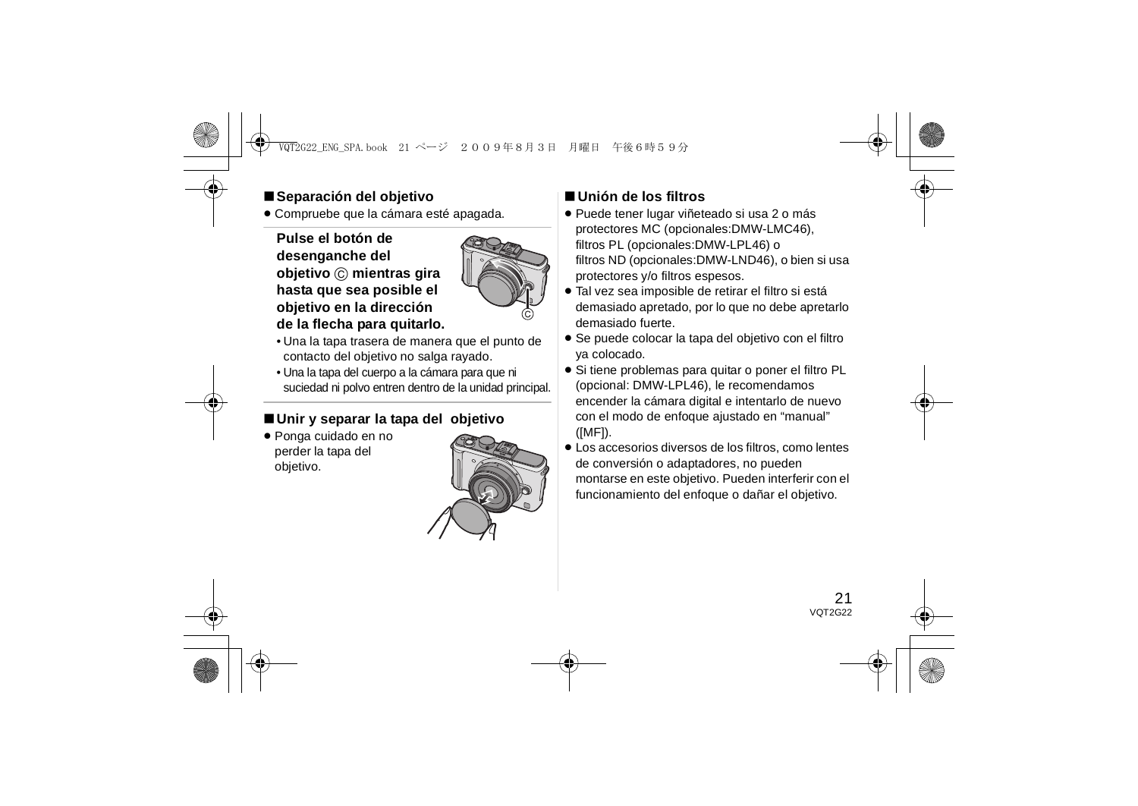## ∫**Separación del objetivo**

≥ Compruebe que la cámara esté apagada.

### **Pulse el botón de desenganche del objetivo** C **mientras gira hasta que sea posible el objetivo en la dirección de la flecha para quitarlo.**



- Una la tapa trasera de manera que el punto de contacto del objetivo no salga rayado.
- Una la tapa del cuerpo a la cámara para que ni suciedad ni polvo entren dentro de la unidad principal.

## ∫**Unir y separar la tapa del objetivo**

≥ Ponga cuidado en no perder la tapa del objetivo.



## ∫ **Unión de los filtros**

- ≥ Puede tener lugar viñeteado si usa 2 o más protectores MC (opcionales:DMW-LMC46), filtros PL (opcionales:DMW-LPL46) o filtros ND (opcionales:DMW-LND46), o bien si usa protectores y/o filtros espesos.
- ≥ Tal vez sea imposible de retirar el filtro si está demasiado apretado, por lo que no debe apretarlo demasiado fuerte.
- ≥ Se puede colocar la tapa del objetivo con el filtro ya colocado.
- ≥ Si tiene problemas para quitar o poner el filtro PL (opcional: DMW-LPL46), le recomendamos encender la cámara digital e intentarlo de nuevo con el modo de enfoque ajustado en "manual" ([MF]).
- ≥ Los accesorios diversos de los filtros, como lentes de conversión o adaptadores, no pueden montarse en este objetivo. Pueden interferir con el funcionamiento del enfoque o dañar el objetivo.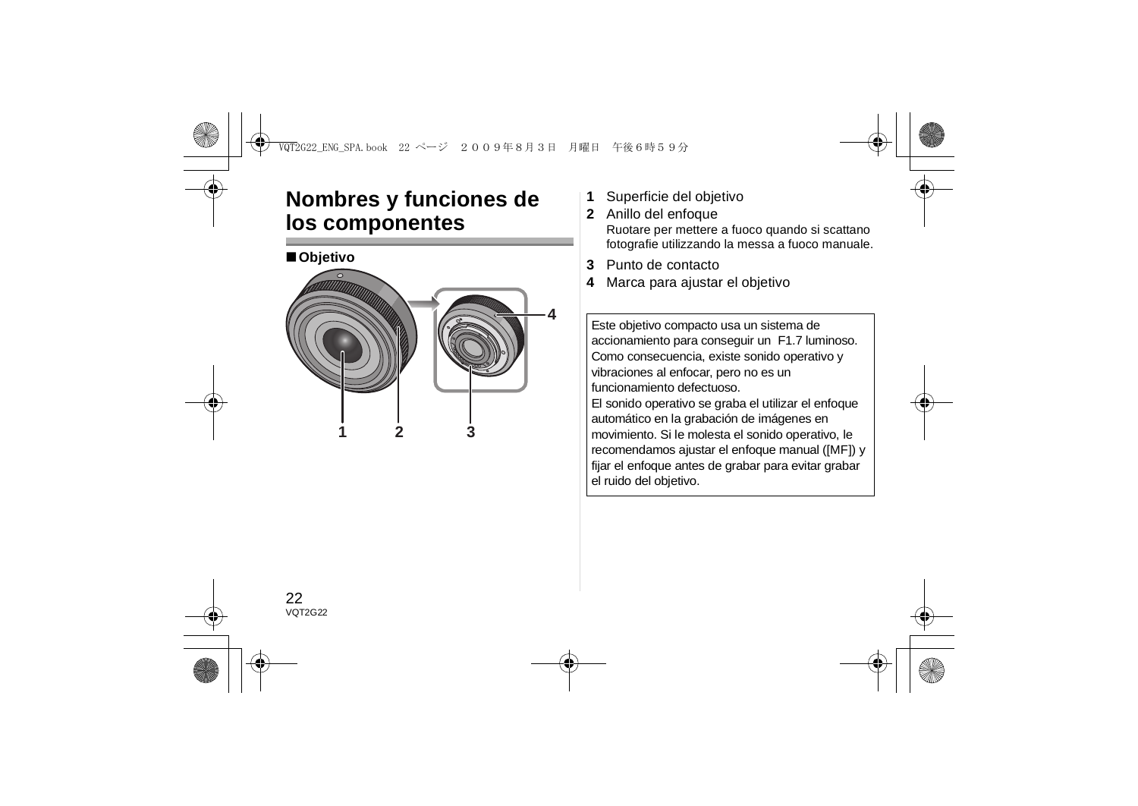# **Nombres y funciones de los componentes**



- **1**Superficie del objetivo
- **2** Anillo del enfoque Ruotare per mettere a fuoco quando si scattano fotografie utilizzando la messa a fuoco manuale.
- **3**Punto de contacto
- **4**Marca para ajustar el objetivo

Este objetivo compacto usa un sistema de accionamiento para conseguir un F1.7 luminoso. Como consecuencia, existe sonido operativo y vibraciones al enfocar, pero no es un funcionamiento defectuoso. El sonido operativo se graba el utilizar el enfoque automático en la grabación de imágenes en movimiento. Si le molesta el sonido operativo, le recomendamos ajustar el enfoque manual ([MF]) y fijar el enfoque antes de grabar para evitar grabar el ruido del objetivo.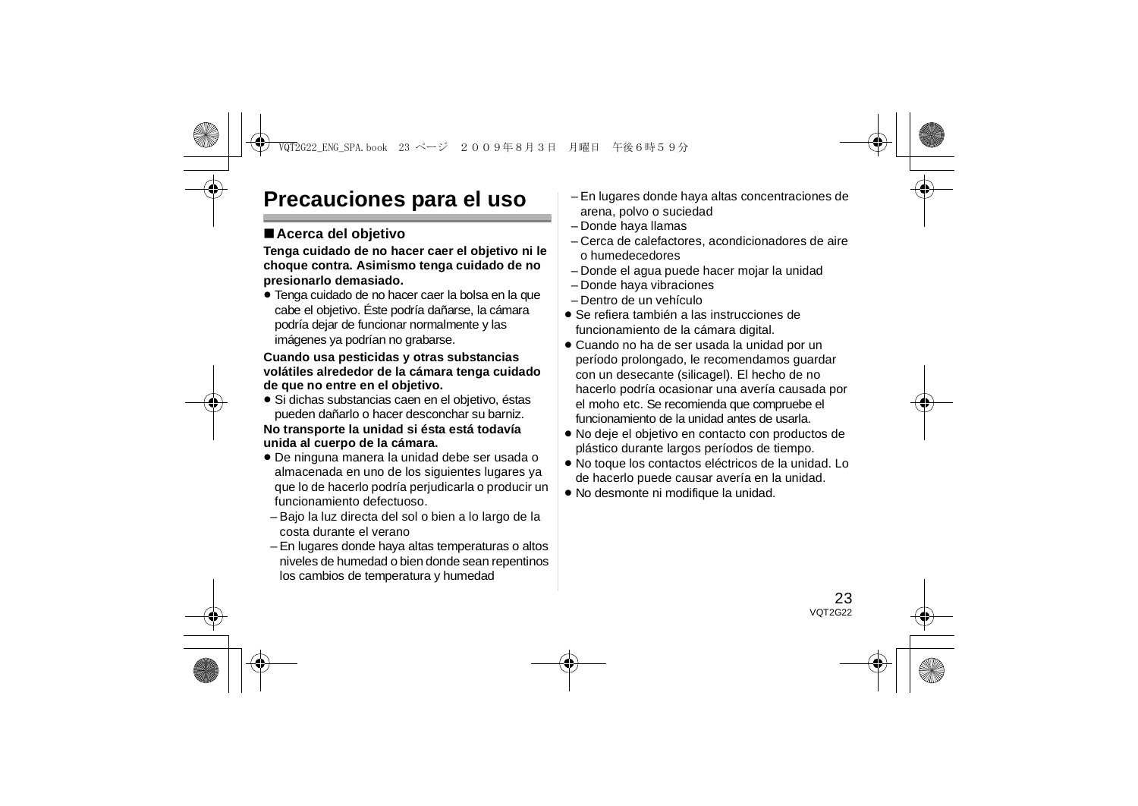# **Precauciones para el uso**

## ∫**Acerca del objetivo**

**Tenga cuidado de no hacer caer el objetivo ni le choque contra. Asimismo tenga cuidado de no presionarlo demasiado.**

≥ Tenga cuidado de no hacer caer la bolsa en la que cabe el objetivo. Éste podría dañarse, la cámara podría dejar de funcionar normalmente y las imágenes ya podrían no grabarse.

#### **Cuando usa pesticidas y otras substancias volátiles alrededor de la cámara tenga cuidado de que no entre en el objetivo.**

≥ Si dichas substancias caen en el objetivo, éstas pueden dañarlo o hacer desconchar su barniz.

#### **No transporte la unidad si ésta está todavía unida al cuerpo de la cámara.**

- ≥ De ninguna manera la unidad debe ser usada o almacenada en uno de los siguientes lugares ya que lo de hacerlo podría perjudicarla o producir un funcionamiento defectuoso.
- Bajo la luz directa del sol o bien a lo largo de la costa durante el verano
- En lugares donde haya altas temperaturas o altos niveles de humedad o bien donde sean repentinos los cambios de temperatura y humedad
- En lugares donde haya altas concentraciones de arena, polvo o suciedad
- Donde haya llamas
- Cerca de calefactores, acondicionadores de aire o humedecedores
- Donde el agua puede hacer mojar la unidad
- Donde haya vibraciones
- Dentro de un vehículo
- ≥ Se refiera también a las instrucciones de funcionamiento de la cámara digital.
- ≥ Cuando no ha de ser usada la unidad por un período prolongado, le recomendamos guardar con un desecante (silicagel). El hecho de no hacerlo podría ocasionar una avería causada por el moho etc. Se recomienda que compruebe el funcionamiento de la unidad antes de usarla.
- ≥ No deje el objetivo en contacto con productos de plástico durante largos períodos de tiempo.
- ≥ No toque los contactos eléctricos de la unidad. Lo de hacerlo puede causar avería en la unidad.
- ≥ No desmonte ni modifique la unidad.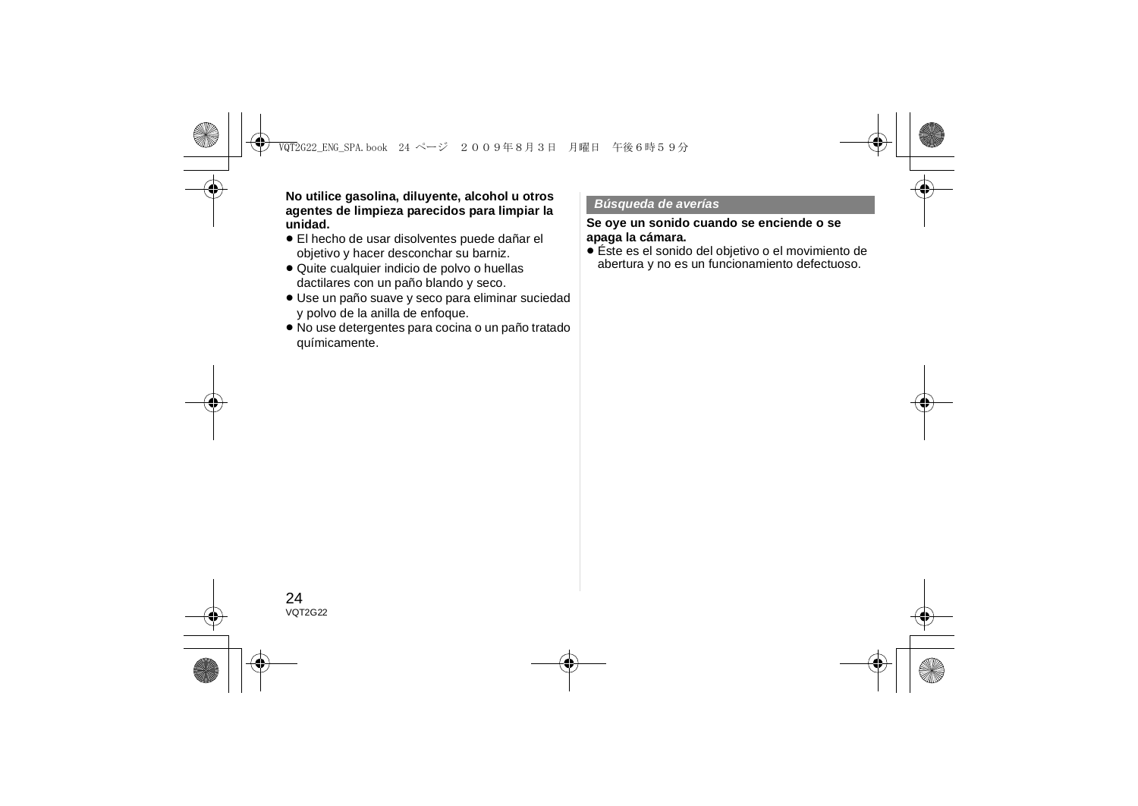**No utilice gasolina, diluyente, alcohol u otros agentes de limpieza parecidos para limpiar la unidad.**

- ≥ El hecho de usar disolventes puede dañar el objetivo y hacer desconchar su barniz.
- ≥ Quite cualquier indicio de polvo o huellas dactilares con un paño blando y seco.
- ≥ Use un paño suave y seco para eliminar suciedad y polvo de la anilla de enfoque.
- ≥ No use detergentes para cocina o un paño tratado químicamente.

#### *Búsqueda de averías*

#### **Se oye un sonido cuando se enciende o se apaga la cámara.**

≥ Éste es el sonido del objetivo o el movimiento de abertura y no es un funcionamiento defectuoso.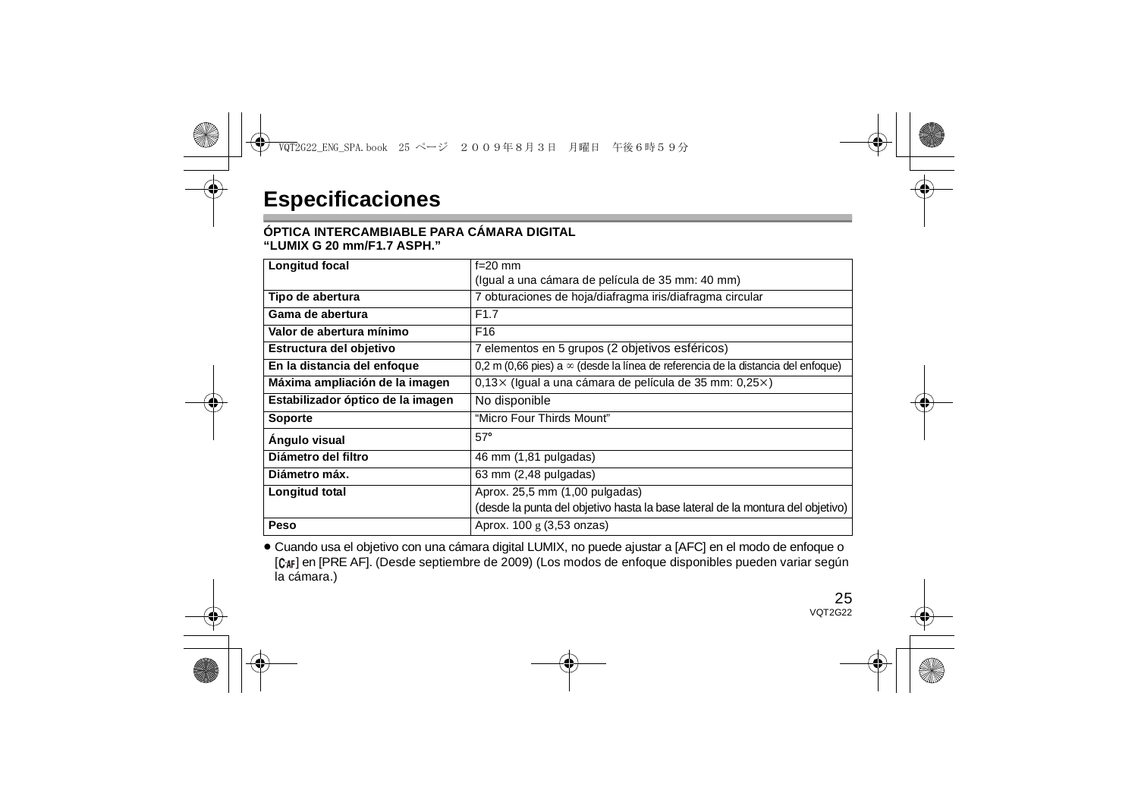#### **ÓPTICA INTERCAMBIABLE PARA CÁMARA DIGITAL"LUMIX G 20 mm/F1.7 ASPH."**

| Longitud focal                    | $f=20$ mm                                                                               |
|-----------------------------------|-----------------------------------------------------------------------------------------|
|                                   | (Igual a una cámara de película de 35 mm: 40 mm)                                        |
| Tipo de abertura                  | 7 obturaciones de hoja/diafragma iris/diafragma circular                                |
| Gama de abertura                  | F <sub>1.7</sub>                                                                        |
| Valor de abertura mínimo          | F <sub>16</sub>                                                                         |
| Estructura del objetivo           | 7 elementos en 5 grupos (2 objetivos esféricos)                                         |
| En la distancia del enfoque       | 0.2 m (0.66 pies) a $\infty$ (desde la línea de referencia de la distancia del enfoque) |
| Máxima ampliación de la imagen    | $0.13 \times$ (Igual a una cámara de película de 35 mm: $0.25 \times$ )                 |
| Estabilizador óptico de la imagen | No disponible                                                                           |
| <b>Soporte</b>                    | "Micro Four Thirds Mount"                                                               |
| Angulo visual                     | $57^\circ$                                                                              |
| Diámetro del filtro               | 46 mm (1,81 pulgadas)                                                                   |
| Diámetro máx.                     | $63$ mm $(2,48$ pulgadas)                                                               |
| Longitud total                    | Aprox. 25,5 mm (1,00 pulgadas)                                                          |
|                                   | (desde la punta del objetivo hasta la base lateral de la montura del objetivo)          |
| Peso                              | Aprox. 100 g (3,53 onzas)                                                               |

≥ Cuando usa el objetivo con una cámara digital LUMIX, no puede ajustar a [AFC] en el modo de enfoque o [C<sub>4F</sub>] en [PRE AF]. (Desde septiembre de 2009) (Los modos de enfoque disponibles pueden variar según la cámara.)